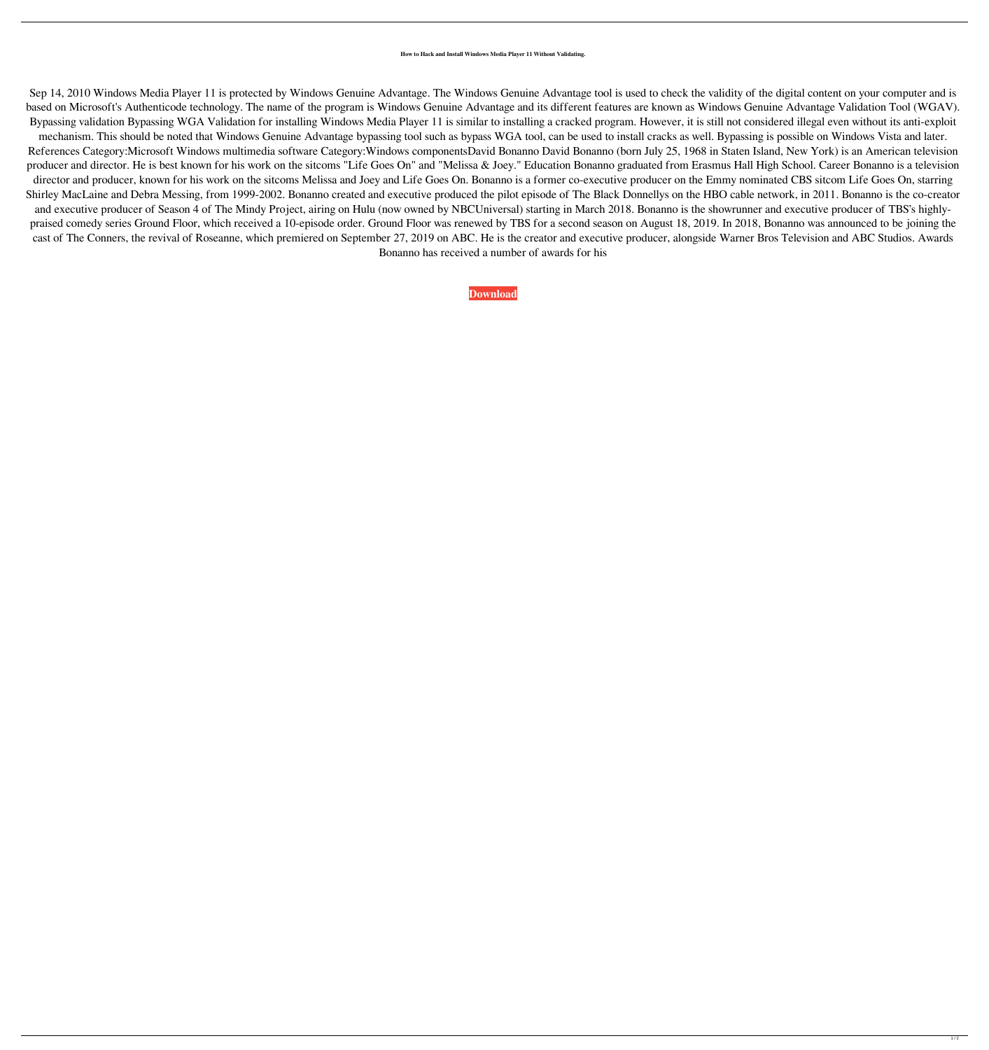## **How to Hack and Install Windows Media Player 11 Without Validating.**

Sep 14, 2010 Windows Media Player 11 is protected by Windows Genuine Advantage. The Windows Genuine Advantage tool is used to check the validity of the digital content on your computer and is based on Microsoft's Authenticode technology. The name of the program is Windows Genuine Advantage and its different features are known as Windows Genuine Advantage Validation Tool (WGAV). Bypassing validation Bypassing WGA Validation for installing Windows Media Player 11 is similar to installing a cracked program. However, it is still not considered illegal even without its anti-exploit

mechanism. This should be noted that Windows Genuine Advantage bypassing tool such as bypass WGA tool, can be used to install cracks as well. Bypassing is possible on Windows Vista and later. References Category:Microsoft Windows multimedia software Category:Windows componentsDavid Bonanno David Bonanno (born July 25, 1968 in Staten Island, New York) is an American television producer and director. He is best known for his work on the sitcoms "Life Goes On" and "Melissa & Joey." Education Bonanno graduated from Erasmus Hall High School. Career Bonanno is a television director and producer, known for his work on the sitcoms Melissa and Joey and Life Goes On. Bonanno is a former co-executive producer on the Emmy nominated CBS sitcom Life Goes On, starring Shirley MacLaine and Debra Messing, from 1999-2002. Bonanno created and executive produced the pilot episode of The Black Donnellys on the HBO cable network, in 2011. Bonanno is the co-creator and executive producer of Season 4 of The Mindy Project, airing on Hulu (now owned by NBCUniversal) starting in March 2018. Bonanno is the showrunner and executive producer of TBS's highlypraised comedy series Ground Floor, which received a 10-episode order. Ground Floor was renewed by TBS for a second season on August 18, 2019. In 2018, Bonanno was announced to be joining the cast of The Conners, the revival of Roseanne, which premiered on September 27, 2019 on ABC. He is the creator and executive producer, alongside Warner Bros Television and ABC Studios. Awards Bonanno has received a number of awards for his

**[Download](https://tlniurl.com/2l0tjs)**